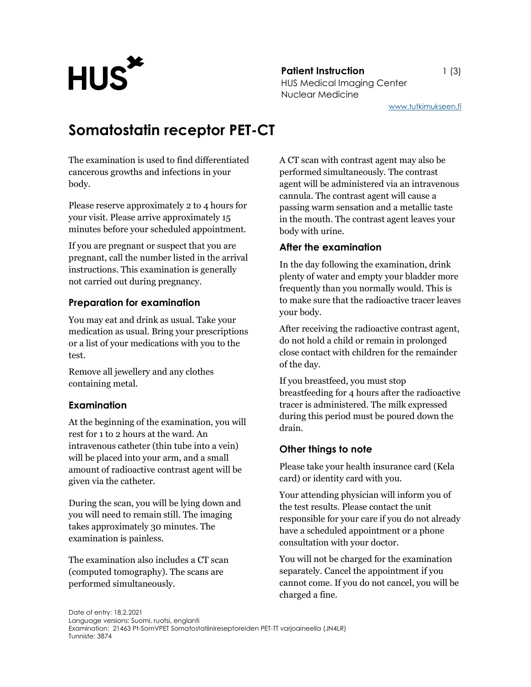**Patient Instruction** 1 (3) Patient Instruction<br>HUS Medical Imaging Center Nuclear Medicine

www.tutkimukseen.fi

# Somatostatin receptor PET-CT

The examination is used to find differentiated cancerous growths and infections in your body.

Please reserve approximately 2 to 4 hours for your visit. Please arrive approximately 15 minutes before your scheduled appointment.

If you are pregnant or suspect that you are pregnant, call the number listed in the arrival instructions. This examination is generally not carried out during pregnancy.

#### Preparation for examination

You may eat and drink as usual. Take your medication as usual. Bring your prescriptions or a list of your medications with you to the test.

Remove all jewellery and any clothes containing metal.

# Examination

At the beginning of the examination, you will rest for 1 to 2 hours at the ward. An intravenous catheter (thin tube into a vein) will be placed into your arm, and a small amount of radioactive contrast agent will be given via the catheter.

During the scan, you will be lying down and you will need to remain still. The imaging takes approximately 30 minutes. The examination is painless.

The examination also includes a CT scan (computed tomography). The scans are performed simultaneously.

A CT scan with contrast agent may also be performed simultaneously. The contrast agent will be administered via an intravenous cannula. The contrast agent will cause a passing warm sensation and a metallic taste in the mouth. The contrast agent leaves your body with urine.

### After the examination

In the day following the examination, drink plenty of water and empty your bladder more frequently than you normally would. This is to make sure that the radioactive tracer leaves your body.

After receiving the radioactive contrast agent, do not hold a child or remain in prolonged close contact with children for the remainder of the day.

If you breastfeed, you must stop breastfeeding for 4 hours after the radioactive tracer is administered. The milk expressed during this period must be poured down the drain.

# Other things to note

Please take your health insurance card (Kela card) or identity card with you.

Your attending physician will inform you of the test results. Please contact the unit responsible for your care if you do not already have a scheduled appointment or a phone consultation with your doctor.

You will not be charged for the examination separately. Cancel the appointment if you cannot come. If you do not cancel, you will be charged a fine.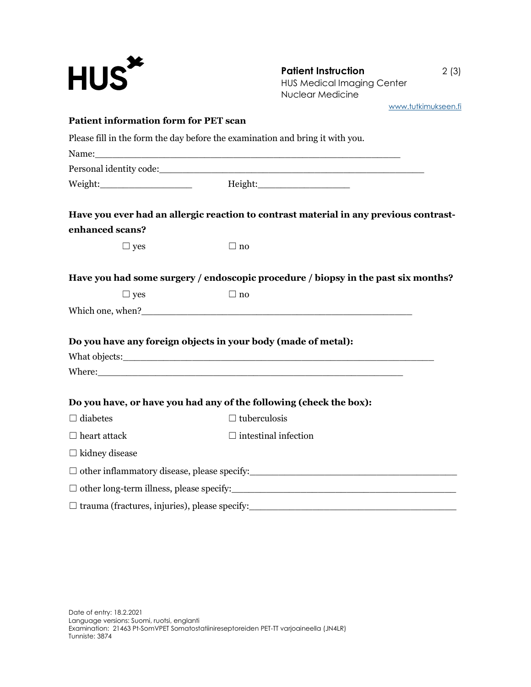| <b>HUS<sup>*</sup></b>                               | <b>Patient Instruction</b><br>2(3)<br><b>HUS Medical Imaging Center</b><br><b>Nuclear Medicine</b>                                                                                                                                   |
|------------------------------------------------------|--------------------------------------------------------------------------------------------------------------------------------------------------------------------------------------------------------------------------------------|
| <b>Patient information form for PET scan</b>         | www.tutkimukseen.fi                                                                                                                                                                                                                  |
|                                                      |                                                                                                                                                                                                                                      |
|                                                      | Please fill in the form the day before the examination and bring it with you.                                                                                                                                                        |
|                                                      |                                                                                                                                                                                                                                      |
|                                                      | Weight:___________________________    Height:___________________________________                                                                                                                                                     |
| enhanced scans?                                      | Have you ever had an allergic reaction to contrast material in any previous contrast-                                                                                                                                                |
| $\Box$ yes                                           | $\Box$ no                                                                                                                                                                                                                            |
|                                                      | Have you had some surgery / endoscopic procedure / biopsy in the past six months?                                                                                                                                                    |
| $\Box$ yes                                           | $\Box$ no                                                                                                                                                                                                                            |
|                                                      |                                                                                                                                                                                                                                      |
|                                                      | Do you have any foreign objects in your body (made of metal):                                                                                                                                                                        |
|                                                      |                                                                                                                                                                                                                                      |
|                                                      | Where: <u>the contract of the contract of the contract of the contract of the contract of the contract of the contract of the contract of the contract of the contract of the contract of the contract of the contract of the co</u> |
|                                                      | Do you have, or have you had any of the following (check the box):                                                                                                                                                                   |
| $\Box$ diabetes                                      | $\Box$ tuberculosis                                                                                                                                                                                                                  |
| $\Box$ heart attack                                  | $\Box$ intestinal infection                                                                                                                                                                                                          |
| $\Box$ kidney disease                                |                                                                                                                                                                                                                                      |
|                                                      | □ other inflammatory disease, please specify:<br>□ other inflammatory disease, please specify:                                                                                                                                       |
|                                                      |                                                                                                                                                                                                                                      |
| $\Box$ trauma (fractures, injuries), please specify: | <u> 2008 - Jan Barnett, mars ann an t-Amhraid ann an t-Amhraid ann an t-Amhraid ann an t-Amhraid ann an t-Amhraid </u>                                                                                                               |